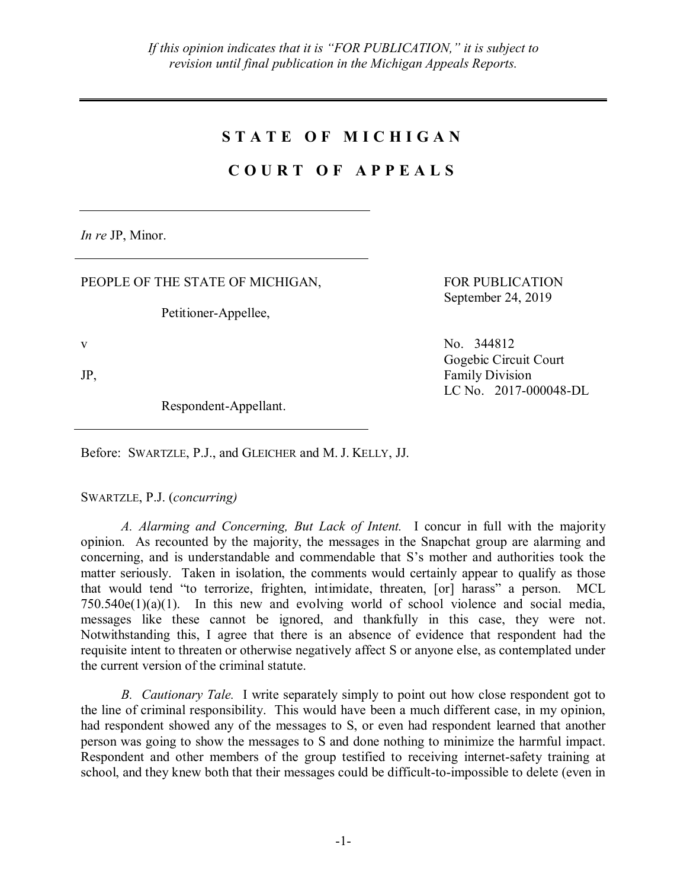## **S T A T E O F M I C H I G A N**

## **C O U R T O F A P P E A L S**

*In re* JP, Minor.

PEOPLE OF THE STATE OF MICHIGAN,

Petitioner-Appellee,

Respondent-Appellant.

FOR PUBLICATION September 24, 2019

v No. 344812 Gogebic Circuit Court JP, Family Division LC No. 2017-000048-DL

Before: SWARTZLE, P.J., and GLEICHER and M. J. KELLY, JJ.

SWARTZLE, P.J. (*concurring)*

*A. Alarming and Concerning, But Lack of Intent.* I concur in full with the majority opinion. As recounted by the majority, the messages in the Snapchat group are alarming and concerning, and is understandable and commendable that S's mother and authorities took the matter seriously. Taken in isolation, the comments would certainly appear to qualify as those that would tend "to terrorize, frighten, intimidate, threaten, [or] harass" a person. MCL  $750.540e(1)(a)(1)$ . In this new and evolving world of school violence and social media, messages like these cannot be ignored, and thankfully in this case, they were not. Notwithstanding this, I agree that there is an absence of evidence that respondent had the requisite intent to threaten or otherwise negatively affect S or anyone else, as contemplated under the current version of the criminal statute.

*B. Cautionary Tale.* I write separately simply to point out how close respondent got to the line of criminal responsibility. This would have been a much different case, in my opinion, had respondent showed any of the messages to S, or even had respondent learned that another person was going to show the messages to S and done nothing to minimize the harmful impact. Respondent and other members of the group testified to receiving internet-safety training at school, and they knew both that their messages could be difficult-to-impossible to delete (even in